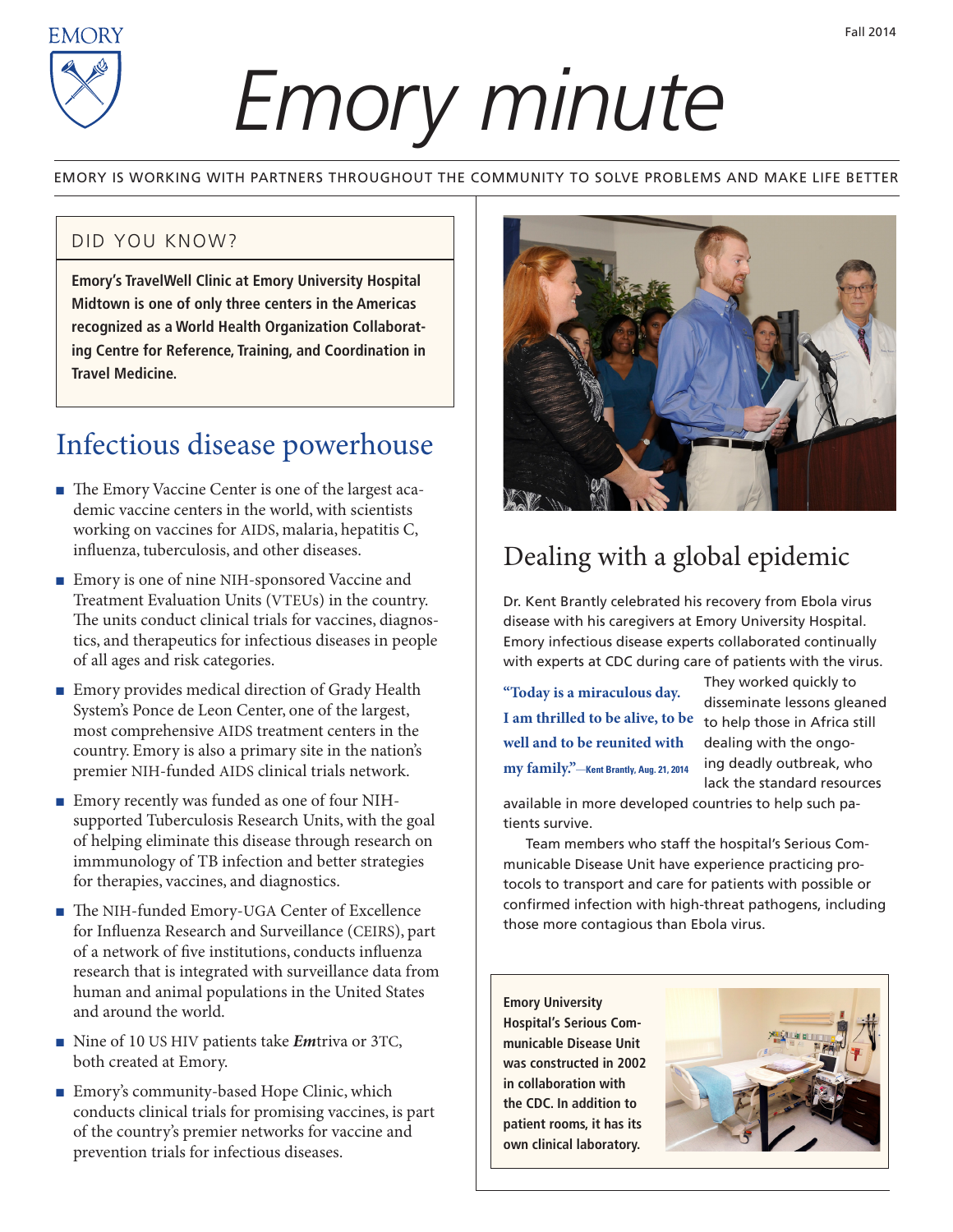

# *Emory minute*

EMORY IS WORKING WITH PARTNERS THROUGHOUT THE COMMUNITY TO SOLVE PROBLEMS AND MAKE LIFE BETTER

#### DID YOU KNOW?

**Emory's TravelWell Clinic at Emory University Hospital Midtown is one of only three centers in the Americas recognized as a World Health Organization Collaborating Centre for Reference, Training, and Coordination in Travel Medicine.**

#### Infectious disease powerhouse

- The Emory Vaccine Center is one of the largest academic vaccine centers in the world, with scientists working on vaccines for AIDS, malaria, hepatitis C, influenza, tuberculosis, and other diseases.
- Emory is one of nine NIH-sponsored Vaccine and Treatment Evaluation Units (VTEUs) in the country. The units conduct clinical trials for vaccines, diagnostics, and therapeutics for infectious diseases in people of all ages and risk categories.
- Emory provides medical direction of Grady Health System's Ponce de Leon Center, one of the largest, most comprehensive AIDS treatment centers in the country. Emory is also a primary site in the nation's premier NIH-funded AIDS clinical trials network.
- Emory recently was funded as one of four NIHsupported Tuberculosis Research Units, with the goal of helping eliminate this disease through research on immmunology of TB infection and better strategies for therapies, vaccines, and diagnostics.
- <sup>n</sup> The NIH-funded Emory-UGA Center of Excellence for Influenza Research and Surveillance (CEIRS), part of a network of five institutions, conducts influenza research that is integrated with surveillance data from human and animal populations in the United States and around the world.
- Nine of 10 US HIV patients take *Em*triva or 3TC, both created at Emory.
- Emory's community-based Hope Clinic, which conducts clinical trials for promising vaccines, is part of the country's premier networks for vaccine and prevention trials for infectious diseases.



### Dealing with a global epidemic

Dr. Kent Brantly celebrated his recovery from Ebola virus disease with his caregivers at Emory University Hospital. Emory infectious disease experts collaborated continually with experts at CDC during care of patients with the virus.

**"Today is a miraculous day. I am thrilled to be alive, to be well and to be reunited with my family."**—**Kent Brantly, Aug. 21, 2014**

They worked quickly to disseminate lessons gleaned to help those in Africa still dealing with the ongoing deadly outbreak, who lack the standard resources

available in more developed countries to help such patients survive.

Team members who staff the hospital's Serious Communicable Disease Unit have experience practicing protocols to transport and care for patients with possible or confirmed infection with high-threat pathogens, including those more contagious than Ebola virus.

**Emory University Hospital's Serious Communicable Disease Unit was constructed in 2002 in collaboration with the CDC. In addition to patient rooms, it has its own clinical laboratory.**